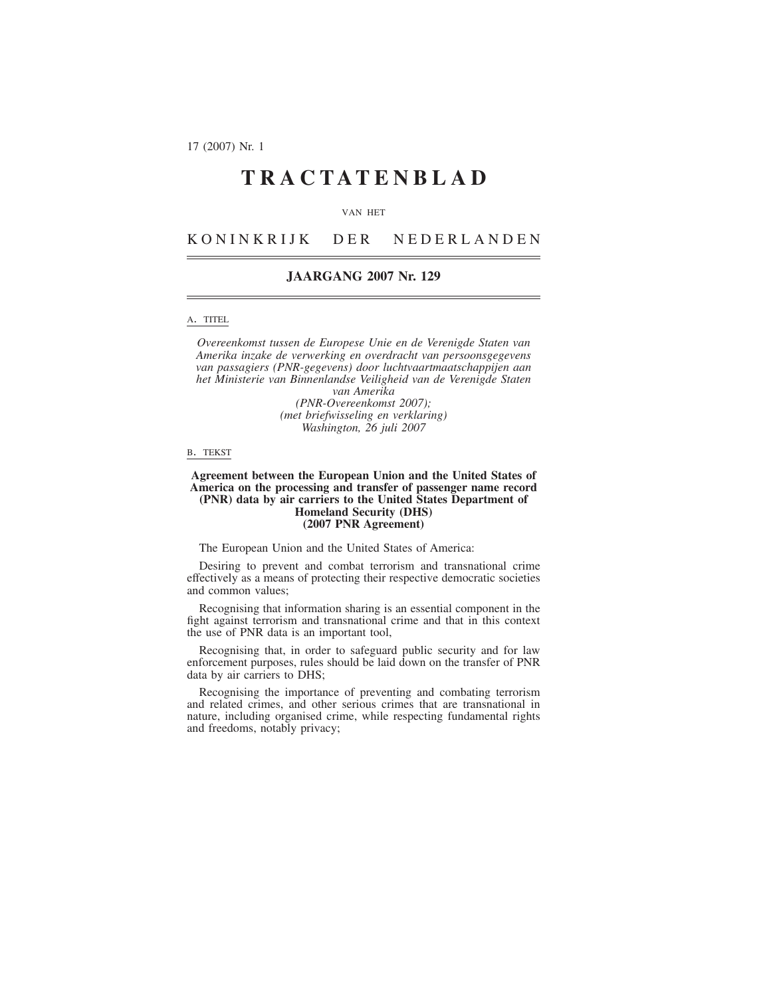17 (2007) Nr. 1

# **TRACTATENBLAD**

#### VAN HET

KONINKRIJK DER NEDERLANDEN

# **JAARGANG 2007 Nr. 129**

## A. TITEL

*Overeenkomst tussen de Europese Unie en de Verenigde Staten van Amerika inzake de verwerking en overdracht van persoonsgegevens van passagiers (PNR-gegevens) door luchtvaartmaatschappijen aan het Ministerie van Binnenlandse Veiligheid van de Verenigde Staten van Amerika*

*(PNR-Overeenkomst 2007); (met briefwisseling en verklaring) Washington, 26 juli 2007*

#### B. TEKST

#### **Agreement between the European Union and the United States of America on the processing and transfer of passenger name record (PNR) data by air carriers to the United States Department of Homeland Security (DHS) (2007 PNR Agreement)**

#### The European Union and the United States of America:

Desiring to prevent and combat terrorism and transnational crime effectively as a means of protecting their respective democratic societies and common values;

Recognising that information sharing is an essential component in the fight against terrorism and transnational crime and that in this context the use of PNR data is an important tool,

Recognising that, in order to safeguard public security and for law enforcement purposes, rules should be laid down on the transfer of PNR data by air carriers to DHS;

Recognising the importance of preventing and combating terrorism and related crimes, and other serious crimes that are transnational in nature, including organised crime, while respecting fundamental rights and freedoms, notably privacy;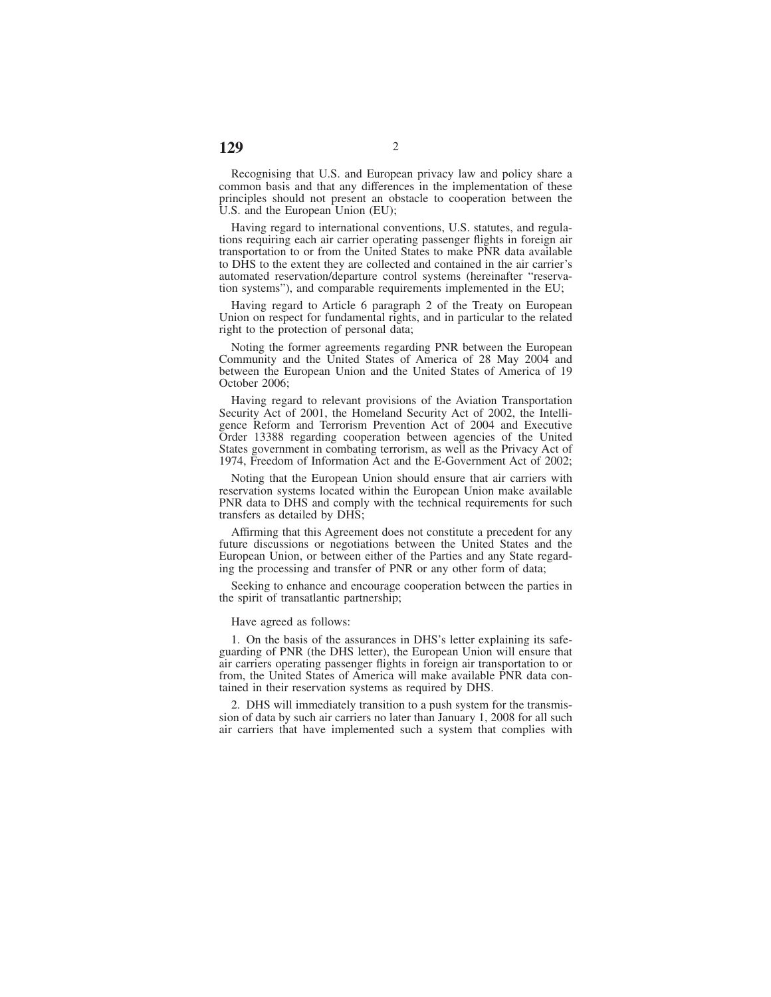Recognising that U.S. and European privacy law and policy share a common basis and that any differences in the implementation of these principles should not present an obstacle to cooperation between the U.S. and the European Union (EU);

Having regard to international conventions, U.S. statutes, and regulations requiring each air carrier operating passenger flights in foreign air transportation to or from the United States to make PNR data available to DHS to the extent they are collected and contained in the air carrier's automated reservation/departure control systems (hereinafter "reservation systems"), and comparable requirements implemented in the EU;

Having regard to Article 6 paragraph 2 of the Treaty on European Union on respect for fundamental rights, and in particular to the related right to the protection of personal data;

Noting the former agreements regarding PNR between the European Community and the United States of America of 28 May 2004 and between the European Union and the United States of America of 19 October 2006;

Having regard to relevant provisions of the Aviation Transportation Security Act of 2001, the Homeland Security Act of 2002, the Intelligence Reform and Terrorism Prevention Act of 2004 and Executive Order 13388 regarding cooperation between agencies of the United States government in combating terrorism, as well as the Privacy Act of 1974, Freedom of Information Act and the E-Government Act of 2002;

Noting that the European Union should ensure that air carriers with reservation systems located within the European Union make available PNR data to DHS and comply with the technical requirements for such transfers as detailed by DHS;

Affirming that this Agreement does not constitute a precedent for any future discussions or negotiations between the United States and the European Union, or between either of the Parties and any State regarding the processing and transfer of PNR or any other form of data;

Seeking to enhance and encourage cooperation between the parties in the spirit of transatlantic partnership;

Have agreed as follows:

1. On the basis of the assurances in DHS's letter explaining its safeguarding of PNR (the DHS letter), the European Union will ensure that air carriers operating passenger flights in foreign air transportation to or from, the United States of America will make available PNR data contained in their reservation systems as required by DHS.

2. DHS will immediately transition to a push system for the transmission of data by such air carriers no later than January 1, 2008 for all such air carriers that have implemented such a system that complies with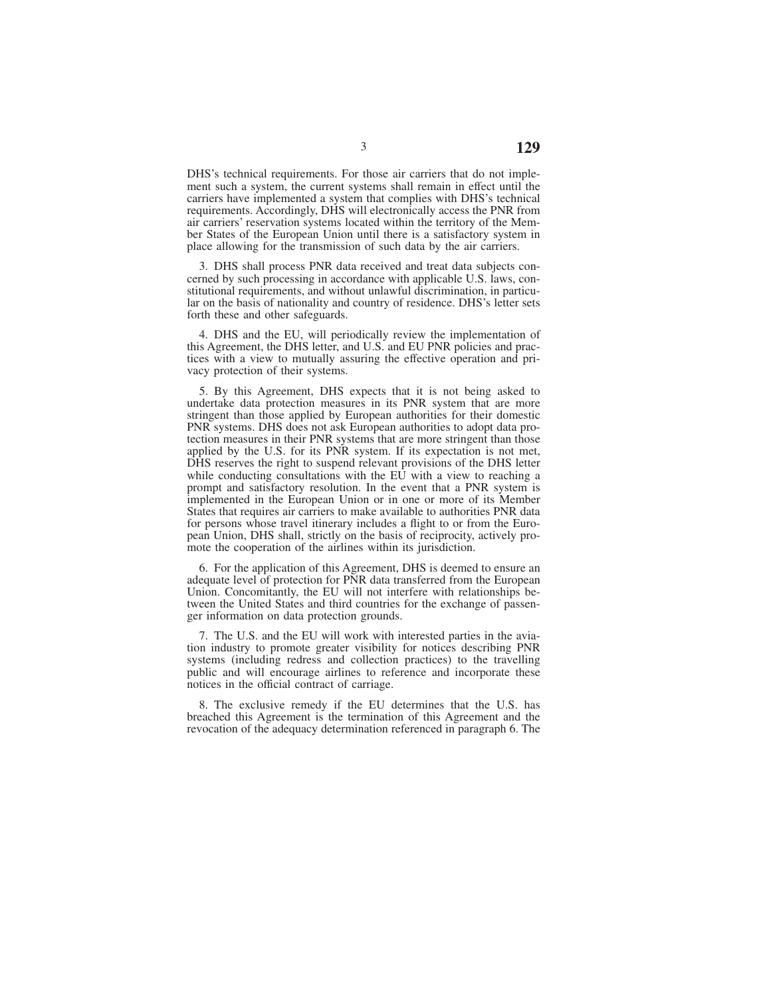DHS's technical requirements. For those air carriers that do not implement such a system, the current systems shall remain in effect until the carriers have implemented a system that complies with DHS's technical requirements. Accordingly, DHS will electronically access the PNR from air carriers' reservation systems located within the territory of the Member States of the European Union until there is a satisfactory system in place allowing for the transmission of such data by the air carriers.

3. DHS shall process PNR data received and treat data subjects concerned by such processing in accordance with applicable U.S. laws, constitutional requirements, and without unlawful discrimination, in particular on the basis of nationality and country of residence. DHS's letter sets forth these and other safeguards.

4. DHS and the EU, will periodically review the implementation of this Agreement, the DHS letter, and U.S. and EU PNR policies and practices with a view to mutually assuring the effective operation and privacy protection of their systems.

5. By this Agreement, DHS expects that it is not being asked to undertake data protection measures in its PNR system that are more stringent than those applied by European authorities for their domestic PNR systems. DHS does not ask European authorities to adopt data protection measures in their PNR systems that are more stringent than those applied by the U.S. for its PNR system. If its expectation is not met, DHS reserves the right to suspend relevant provisions of the DHS letter while conducting consultations with the EU with a view to reaching a prompt and satisfactory resolution. In the event that a PNR system is implemented in the European Union or in one or more of its Member States that requires air carriers to make available to authorities PNR data for persons whose travel itinerary includes a flight to or from the European Union, DHS shall, strictly on the basis of reciprocity, actively promote the cooperation of the airlines within its jurisdiction.

6. For the application of this Agreement, DHS is deemed to ensure an adequate level of protection for PNR data transferred from the European Union. Concomitantly, the EU will not interfere with relationships between the United States and third countries for the exchange of passenger information on data protection grounds.

7. The U.S. and the EU will work with interested parties in the aviation industry to promote greater visibility for notices describing PNR systems (including redress and collection practices) to the travelling public and will encourage airlines to reference and incorporate these notices in the official contract of carriage.

8. The exclusive remedy if the EU determines that the U.S. has breached this Agreement is the termination of this Agreement and the revocation of the adequacy determination referenced in paragraph 6. The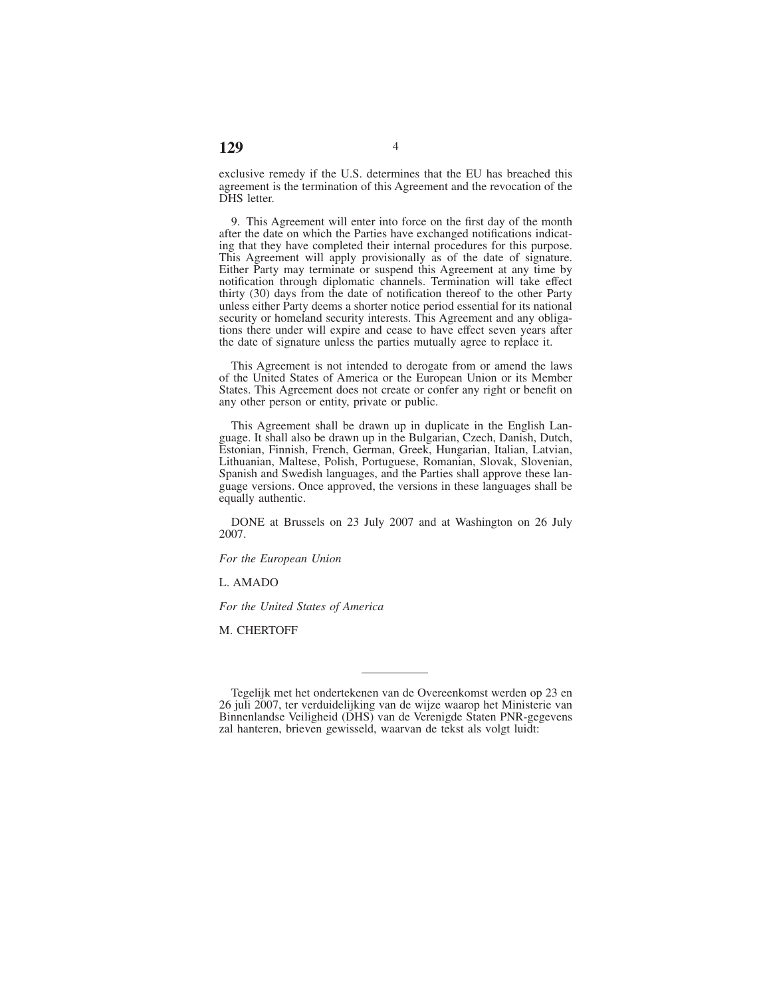#### exclusive remedy if the U.S. determines that the EU has breached this agreement is the termination of this Agreement and the revocation of the DHS letter.

9. This Agreement will enter into force on the first day of the month after the date on which the Parties have exchanged notifications indicating that they have completed their internal procedures for this purpose. This Agreement will apply provisionally as of the date of signature. Either Party may terminate or suspend this Agreement at any time by notification through diplomatic channels. Termination will take effect thirty (30) days from the date of notification thereof to the other Party unless either Party deems a shorter notice period essential for its national security or homeland security interests. This Agreement and any obligations there under will expire and cease to have effect seven years after the date of signature unless the parties mutually agree to replace it.

This Agreement is not intended to derogate from or amend the laws of the United States of America or the European Union or its Member States. This Agreement does not create or confer any right or benefit on any other person or entity, private or public.

This Agreement shall be drawn up in duplicate in the English Language. It shall also be drawn up in the Bulgarian, Czech, Danish, Dutch, Estonian, Finnish, French, German, Greek, Hungarian, Italian, Latvian, Lithuanian, Maltese, Polish, Portuguese, Romanian, Slovak, Slovenian, Spanish and Swedish languages, and the Parties shall approve these language versions. Once approved, the versions in these languages shall be equally authentic.

DONE at Brussels on 23 July 2007 and at Washington on 26 July 2007.

*For the European Union*

L. AMADO

*For the United States of America*

M. CHERTOFF

Tegelijk met het ondertekenen van de Overeenkomst werden op 23 en 26 juli 2007, ter verduidelijking van de wijze waarop het Ministerie van Binnenlandse Veiligheid (DHS) van de Verenigde Staten PNR-gegevens zal hanteren, brieven gewisseld, waarvan de tekst als volgt luidt: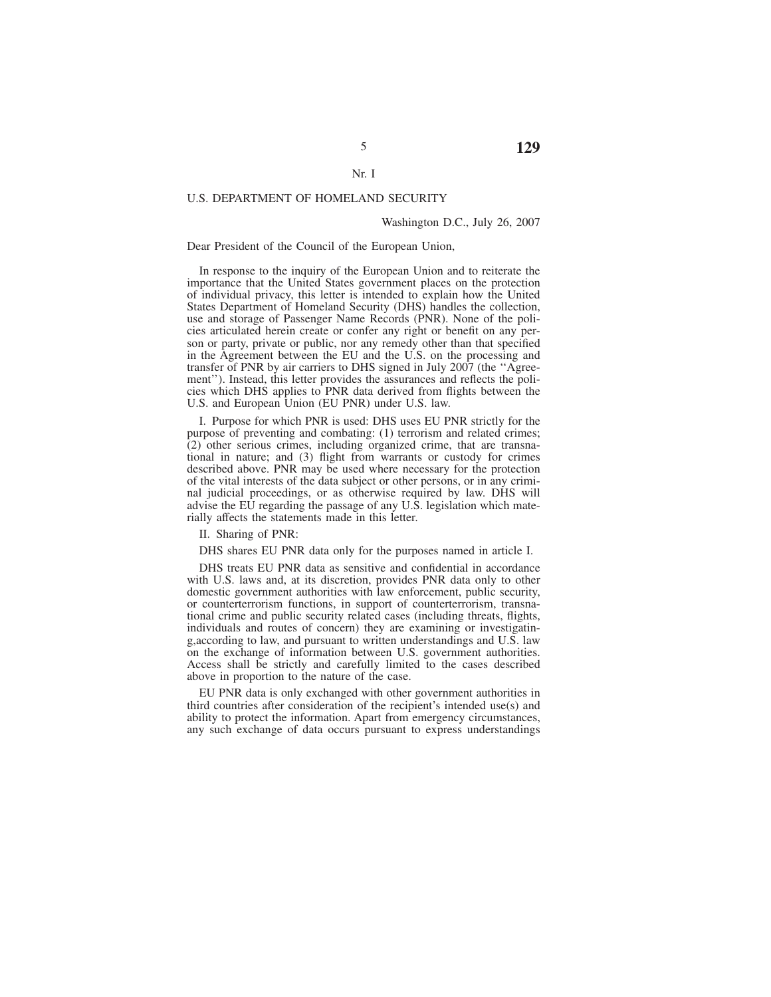#### Nr. I

#### U.S. DEPARTMENT OF HOMELAND SECURITY

#### Washington D.C., July 26, 2007

#### Dear President of the Council of the European Union,

In response to the inquiry of the European Union and to reiterate the importance that the United States government places on the protection of individual privacy, this letter is intended to explain how the United States Department of Homeland Security (DHS) handles the collection, use and storage of Passenger Name Records (PNR). None of the policies articulated herein create or confer any right or benefit on any person or party, private or public, nor any remedy other than that specified in the Agreement between the EU and the U.S. on the processing and transfer of PNR by air carriers to DHS signed in July 2007 (the ''Agreement''). Instead, this letter provides the assurances and reflects the policies which DHS applies to PNR data derived from flights between the U.S. and European Union (EU PNR) under U.S. law.

I. Purpose for which PNR is used: DHS uses EU PNR strictly for the purpose of preventing and combating: (1) terrorism and related crimes;  $(2)$  other serious crimes, including organized crime, that are transnational in nature; and (3) flight from warrants or custody for crimes described above. PNR may be used where necessary for the protection of the vital interests of the data subject or other persons, or in any criminal judicial proceedings, or as otherwise required by law. DHS will advise the EU regarding the passage of any U.S. legislation which materially affects the statements made in this letter.

II. Sharing of PNR:

DHS shares EU PNR data only for the purposes named in article I.

DHS treats EU PNR data as sensitive and confidential in accordance with U.S. laws and, at its discretion, provides PNR data only to other domestic government authorities with law enforcement, public security, or counterterrorism functions, in support of counterterrorism, transnational crime and public security related cases (including threats, flights, individuals and routes of concern) they are examining or investigating,according to law, and pursuant to written understandings and U.S. law on the exchange of information between U.S. government authorities. Access shall be strictly and carefully limited to the cases described above in proportion to the nature of the case.

EU PNR data is only exchanged with other government authorities in third countries after consideration of the recipient's intended use(s) and ability to protect the information. Apart from emergency circumstances, any such exchange of data occurs pursuant to express understandings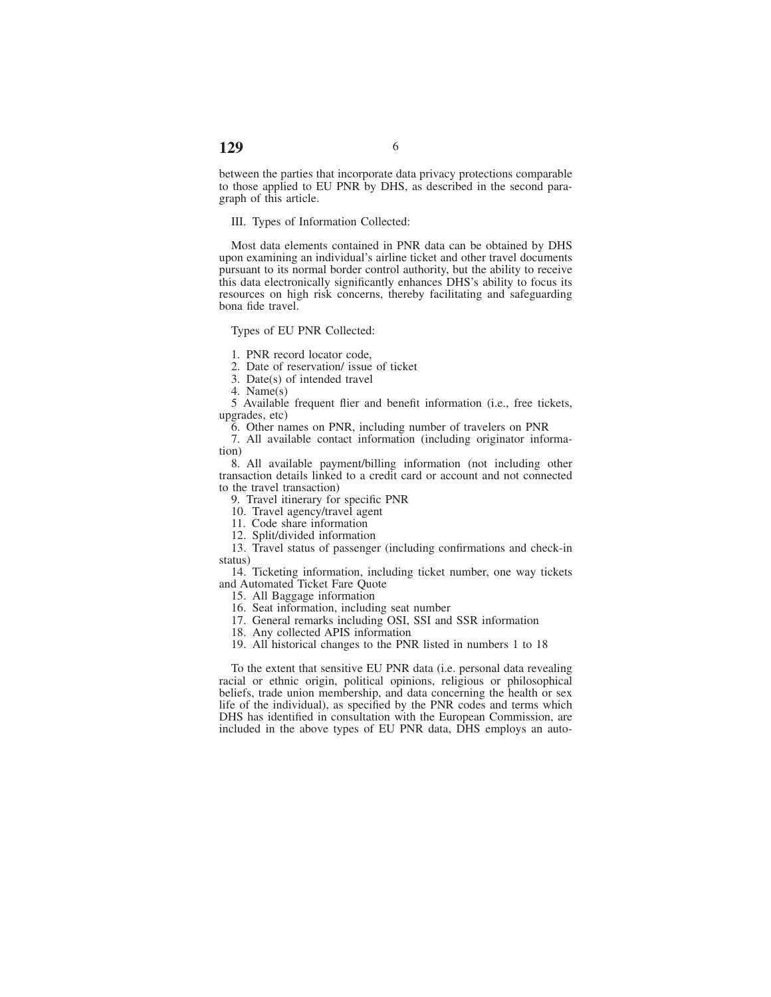#### between the parties that incorporate data privacy protections comparable to those applied to EU PNR by DHS, as described in the second paragraph of this article.

# III. Types of Information Collected:

Most data elements contained in PNR data can be obtained by DHS upon examining an individual's airline ticket and other travel documents pursuant to its normal border control authority, but the ability to receive this data electronically significantly enhances DHS's ability to focus its resources on high risk concerns, thereby facilitating and safeguarding bona fide travel.

Types of EU PNR Collected:

1. PNR record locator code,

2. Date of reservation/ issue of ticket

3. Date(s) of intended travel

4. Name(s)

5 Available frequent flier and benefit information (i.e., free tickets, upgrades, etc)

6. Other names on PNR, including number of travelers on PNR

7. All available contact information (including originator information)

8. All available payment/billing information (not including other transaction details linked to a credit card or account and not connected to the travel transaction)

9. Travel itinerary for specific PNR

10. Travel agency/travel agent

11. Code share information

12. Split/divided information

13. Travel status of passenger (including confirmations and check-in status)

14. Ticketing information, including ticket number, one way tickets and Automated Ticket Fare Quote

15. All Baggage information

16. Seat information, including seat number

17. General remarks including OSI, SSI and SSR information

18. Any collected APIS information

19. All historical changes to the PNR listed in numbers 1 to 18

To the extent that sensitive EU PNR data (i.e. personal data revealing racial or ethnic origin, political opinions, religious or philosophical beliefs, trade union membership, and data concerning the health or sex life of the individual), as specified by the PNR codes and terms which DHS has identified in consultation with the European Commission, are included in the above types of EU PNR data, DHS employs an auto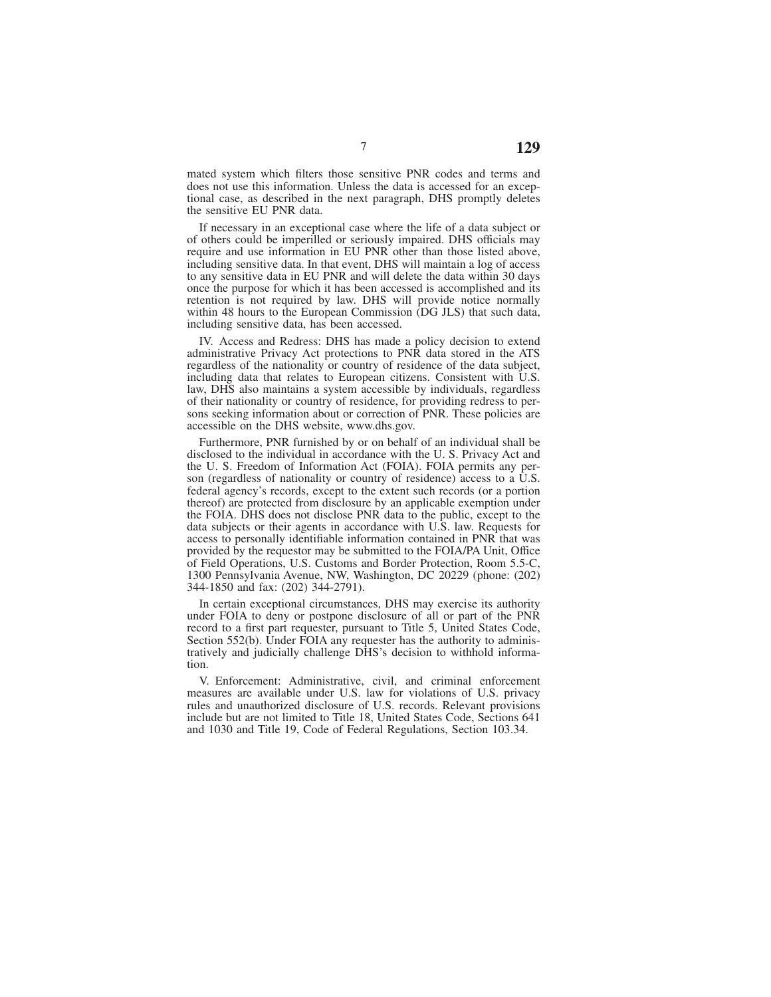mated system which filters those sensitive PNR codes and terms and does not use this information. Unless the data is accessed for an exceptional case, as described in the next paragraph, DHS promptly deletes the sensitive EU PNR data.

If necessary in an exceptional case where the life of a data subject or of others could be imperilled or seriously impaired. DHS officials may require and use information in EU PNR other than those listed above, including sensitive data. In that event, DHS will maintain a log of access to any sensitive data in EU PNR and will delete the data within 30 days once the purpose for which it has been accessed is accomplished and its retention is not required by law. DHS will provide notice normally within 48 hours to the European Commission (DG JLS) that such data, including sensitive data, has been accessed.

IV. Access and Redress: DHS has made a policy decision to extend administrative Privacy Act protections to PNR data stored in the ATS regardless of the nationality or country of residence of the data subject, including data that relates to European citizens. Consistent with U.S. law, DHS also maintains a system accessible by individuals, regardless of their nationality or country of residence, for providing redress to persons seeking information about or correction of PNR. These policies are accessible on the DHS website, www.dhs.gov.

Furthermore, PNR furnished by or on behalf of an individual shall be disclosed to the individual in accordance with the U. S. Privacy Act and the U. S. Freedom of Information Act (FOIA). FOIA permits any person (regardless of nationality or country of residence) access to a  $\hat{U}$ .S. federal agency's records, except to the extent such records (or a portion thereof) are protected from disclosure by an applicable exemption under the FOIA. DHS does not disclose PNR data to the public, except to the data subjects or their agents in accordance with U.S. law. Requests for access to personally identifiable information contained in PNR that was provided by the requestor may be submitted to the FOIA/PA Unit, Office of Field Operations, U.S. Customs and Border Protection, Room 5.5-C, 1300 Pennsylvania Avenue, NW, Washington, DC 20229 (phone: (202) 344-1850 and fax: (202) 344-2791).

In certain exceptional circumstances, DHS may exercise its authority under FOIA to deny or postpone disclosure of all or part of the PNR record to a first part requester, pursuant to Title 5, United States Code, Section 552(b). Under FOIA any requester has the authority to administratively and judicially challenge DHS's decision to withhold information.

V. Enforcement: Administrative, civil, and criminal enforcement measures are available under U.S. law for violations of U.S. privacy rules and unauthorized disclosure of U.S. records. Relevant provisions include but are not limited to Title 18, United States Code, Sections 641 and 1030 and Title 19, Code of Federal Regulations, Section 103.34.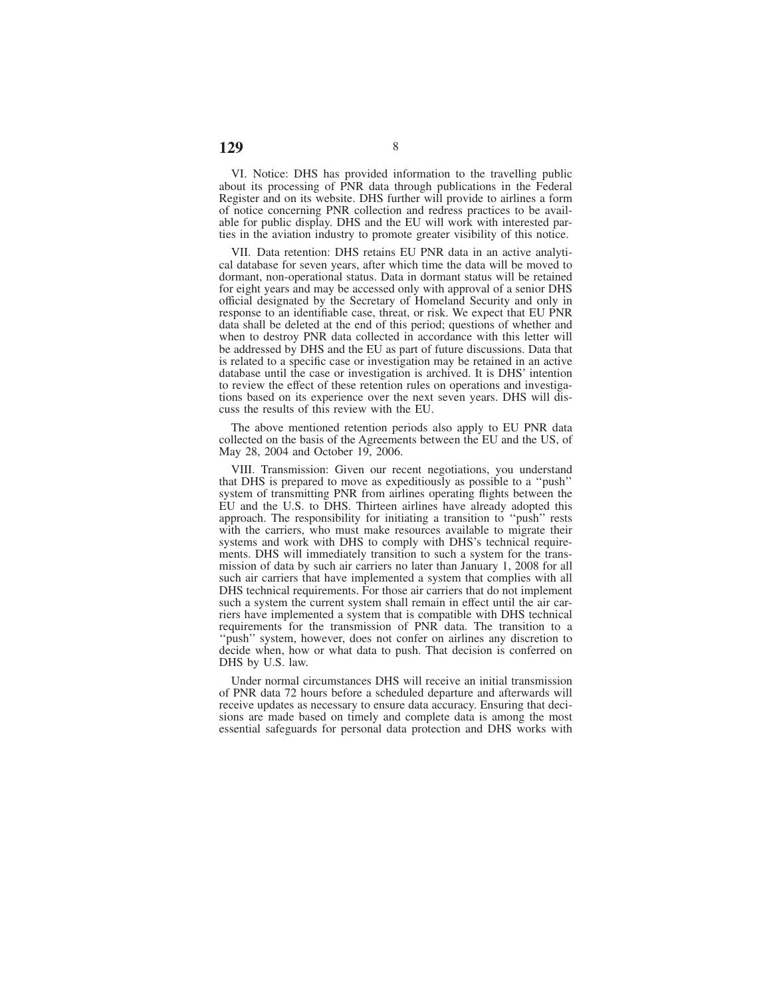VI. Notice: DHS has provided information to the travelling public about its processing of PNR data through publications in the Federal Register and on its website. DHS further will provide to airlines a form of notice concerning PNR collection and redress practices to be available for public display. DHS and the EU will work with interested parties in the aviation industry to promote greater visibility of this notice.

VII. Data retention: DHS retains EU PNR data in an active analytical database for seven years, after which time the data will be moved to dormant, non-operational status. Data in dormant status will be retained for eight years and may be accessed only with approval of a senior DHS official designated by the Secretary of Homeland Security and only in response to an identifiable case, threat, or risk. We expect that EU PNR data shall be deleted at the end of this period; questions of whether and when to destroy PNR data collected in accordance with this letter will be addressed by DHS and the EU as part of future discussions. Data that is related to a specific case or investigation may be retained in an active database until the case or investigation is archived. It is DHS' intention to review the effect of these retention rules on operations and investigations based on its experience over the next seven years. DHS will discuss the results of this review with the EU.

The above mentioned retention periods also apply to EU PNR data collected on the basis of the Agreements between the EU and the US, of May 28, 2004 and October 19, 2006.

VIII. Transmission: Given our recent negotiations, you understand that DHS is prepared to move as expeditiously as possible to a ''push'' system of transmitting PNR from airlines operating flights between the EU and the U.S. to DHS. Thirteen airlines have already adopted this approach. The responsibility for initiating a transition to ''push'' rests with the carriers, who must make resources available to migrate their systems and work with DHS to comply with DHS's technical requirements. DHS will immediately transition to such a system for the transmission of data by such air carriers no later than January 1, 2008 for all such air carriers that have implemented a system that complies with all DHS technical requirements. For those air carriers that do not implement such a system the current system shall remain in effect until the air carriers have implemented a system that is compatible with DHS technical requirements for the transmission of PNR data. The transition to a ''push'' system, however, does not confer on airlines any discretion to decide when, how or what data to push. That decision is conferred on DHS by U.S. law.

Under normal circumstances DHS will receive an initial transmission of PNR data 72 hours before a scheduled departure and afterwards will receive updates as necessary to ensure data accuracy. Ensuring that decisions are made based on timely and complete data is among the most essential safeguards for personal data protection and DHS works with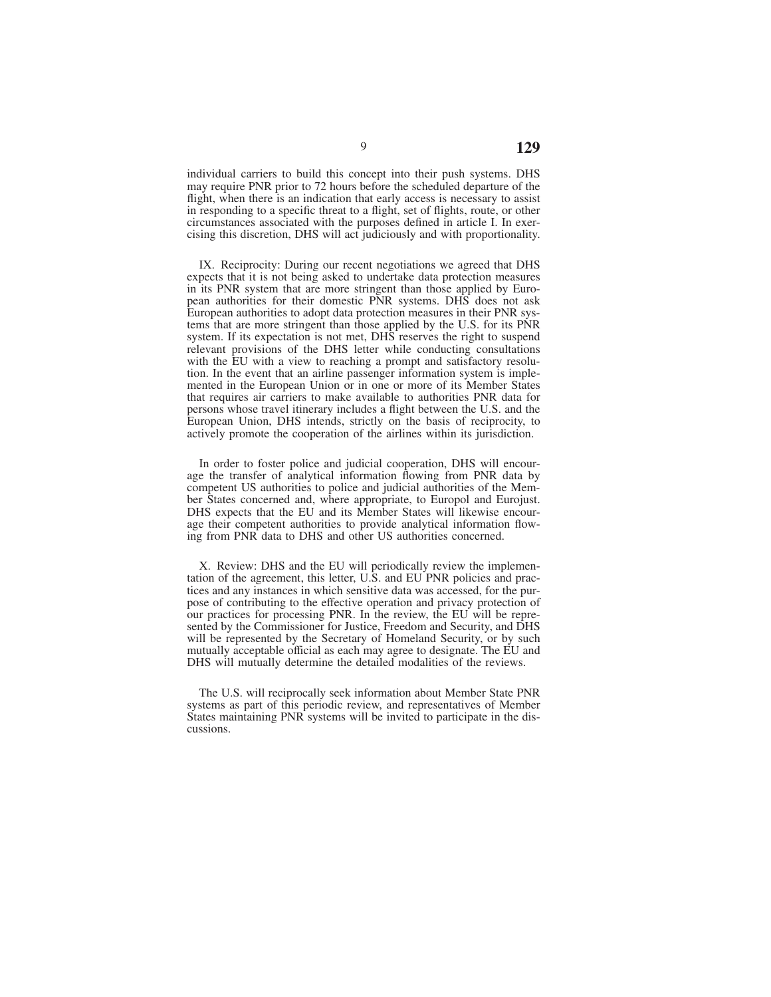individual carriers to build this concept into their push systems. DHS may require PNR prior to 72 hours before the scheduled departure of the flight, when there is an indication that early access is necessary to assist in responding to a specific threat to a flight, set of flights, route, or other circumstances associated with the purposes defined in article I. In exercising this discretion, DHS will act judiciously and with proportionality.

IX. Reciprocity: During our recent negotiations we agreed that DHS expects that it is not being asked to undertake data protection measures in its PNR system that are more stringent than those applied by European authorities for their domestic PNR systems. DHS does not ask European authorities to adopt data protection measures in their PNR systems that are more stringent than those applied by the U.S. for its PNR system. If its expectation is not met, DHS reserves the right to suspend relevant provisions of the DHS letter while conducting consultations with the EU with a view to reaching a prompt and satisfactory resolution. In the event that an airline passenger information system is implemented in the European Union or in one or more of its Member States that requires air carriers to make available to authorities PNR data for persons whose travel itinerary includes a flight between the U.S. and the European Union, DHS intends, strictly on the basis of reciprocity, to actively promote the cooperation of the airlines within its jurisdiction.

In order to foster police and judicial cooperation, DHS will encourage the transfer of analytical information flowing from PNR data by competent US authorities to police and judicial authorities of the Member States concerned and, where appropriate, to Europol and Eurojust. DHS expects that the EU and its Member States will likewise encourage their competent authorities to provide analytical information flowing from PNR data to DHS and other US authorities concerned.

X. Review: DHS and the EU will periodically review the implementation of the agreement, this letter, U.S. and EU PNR policies and practices and any instances in which sensitive data was accessed, for the purpose of contributing to the effective operation and privacy protection of our practices for processing PNR. In the review, the EU will be represented by the Commissioner for Justice, Freedom and Security, and DHS will be represented by the Secretary of Homeland Security, or by such mutually acceptable official as each may agree to designate. The EU and DHS will mutually determine the detailed modalities of the reviews.

The U.S. will reciprocally seek information about Member State PNR systems as part of this periodic review, and representatives of Member States maintaining PNR systems will be invited to participate in the discussions.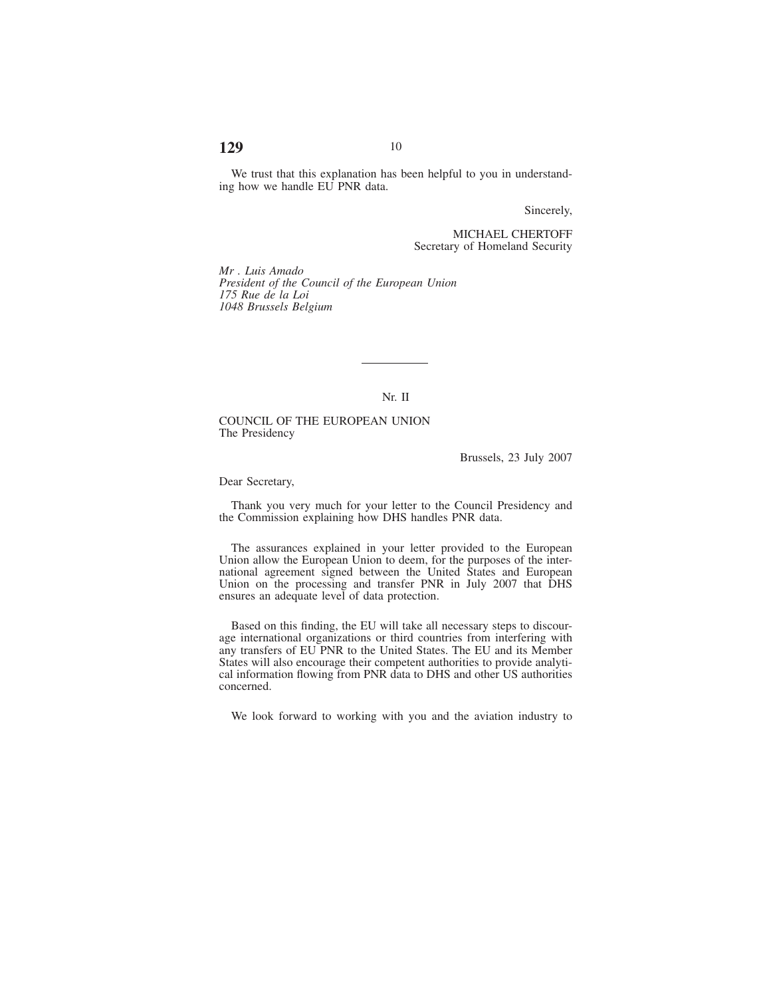# **129** 10

We trust that this explanation has been helpful to you in understanding how we handle EU PNR data.

Sincerely,

MICHAEL CHERTOFF Secretary of Homeland Security

*Mr . Luis Amado President of the Council of the European Union 175 Rue de la Loi 1048 Brussels Belgium*

Nr. II

COUNCIL OF THE EUROPEAN UNION The Presidency

Brussels, 23 July 2007

Dear Secretary,

Thank you very much for your letter to the Council Presidency and the Commission explaining how DHS handles PNR data.

The assurances explained in your letter provided to the European Union allow the European Union to deem, for the purposes of the international agreement signed between the United States and European Union on the processing and transfer PNR in July 2007 that DHS ensures an adequate level of data protection.

Based on this finding, the EU will take all necessary steps to discourage international organizations or third countries from interfering with any transfers of EU PNR to the United States. The EU and its Member States will also encourage their competent authorities to provide analytical information flowing from PNR data to DHS and other US authorities concerned.

We look forward to working with you and the aviation industry to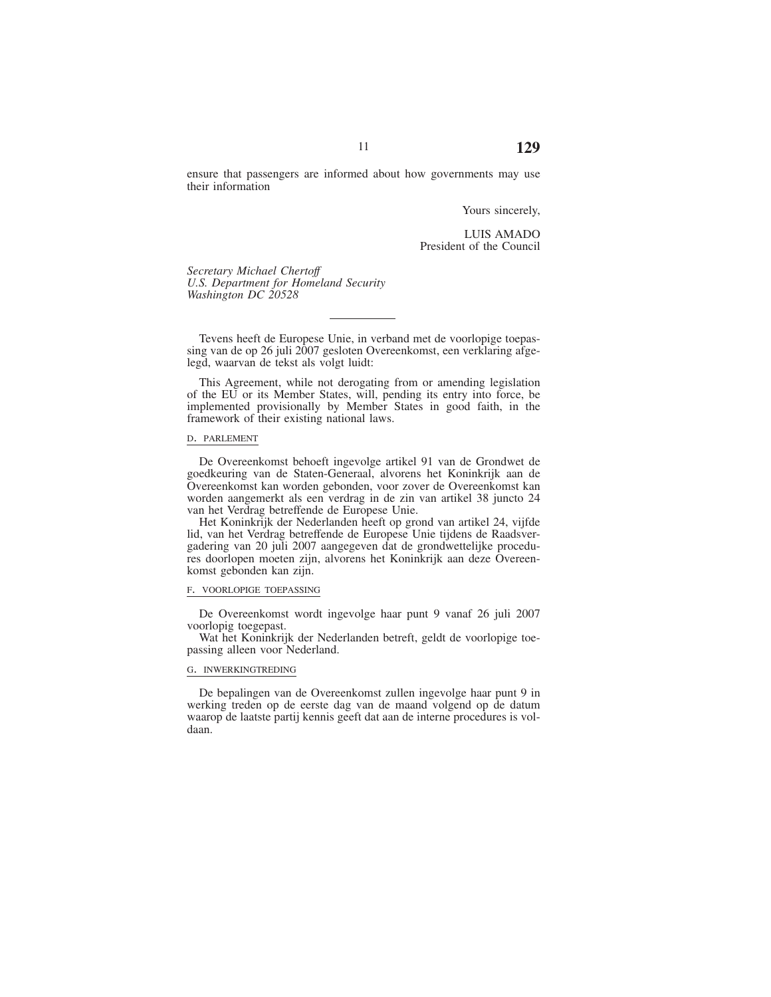Yours sincerely,

LUIS AMADO President of the Council

*Secretary Michael Chertoff U.S. Department for Homeland Security Washington DC 20528*

Tevens heeft de Europese Unie, in verband met de voorlopige toepassing van de op 26 juli 2007 gesloten Overeenkomst, een verklaring afgelegd, waarvan de tekst als volgt luidt:

This Agreement, while not derogating from or amending legislation of the EU or its Member States, will, pending its entry into force, be implemented provisionally by Member States in good faith, in the framework of their existing national laws.

#### D. PARLEMENT

De Overeenkomst behoeft ingevolge artikel 91 van de Grondwet de goedkeuring van de Staten-Generaal, alvorens het Koninkrijk aan de Overeenkomst kan worden gebonden, voor zover de Overeenkomst kan worden aangemerkt als een verdrag in de zin van artikel 38 juncto 24 van het Verdrag betreffende de Europese Unie.

Het Koninkrijk der Nederlanden heeft op grond van artikel 24, vijfde lid, van het Verdrag betreffende de Europese Unie tijdens de Raadsvergadering van 20 juli 2007 aangegeven dat de grondwettelijke procedures doorlopen moeten zijn, alvorens het Koninkrijk aan deze Overeenkomst gebonden kan zijn.

#### F. VOORLOPIGE TOEPASSING

De Overeenkomst wordt ingevolge haar punt 9 vanaf 26 juli 2007 voorlopig toegepast.

Wat het Koninkrijk der Nederlanden betreft, geldt de voorlopige toepassing alleen voor Nederland.

#### G. INWERKINGTREDING

De bepalingen van de Overeenkomst zullen ingevolge haar punt 9 in werking treden op de eerste dag van de maand volgend op de datum waarop de laatste partij kennis geeft dat aan de interne procedures is voldaan.